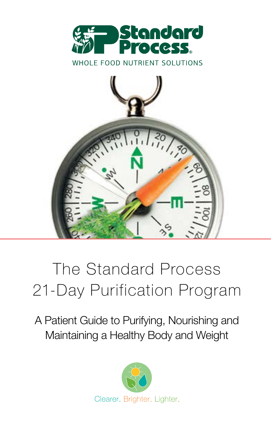



# The Standard Process 21-Day Purification Program

A Patient Guide to Purifying, Nourishing and Maintaining a Healthy Body and Weight

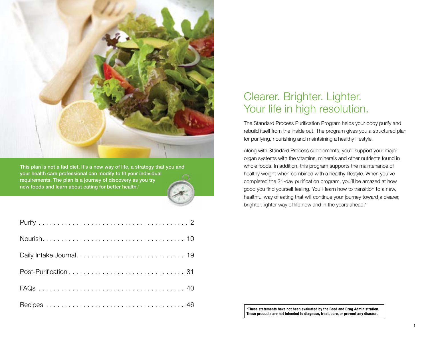

This plan is not a fad diet. It's a new way of life, a strategy that you and your health care professional can modify to fit your individual requirements. The plan is a journey of discovery as you try new foods and learn about eating for better health.\*

### Clearer. Brighter. Lighter. Your life in high resolution.

The Standard Process Purification Program helps your body purify and rebuild itself from the inside out. The program gives you a structured plan for purifying, nourishing and maintaining a healthy lifestyle.

Along with Standard Process supplements, you'll support your major organ systems with the vitamins, minerals and other nutrients found in whole foods. In addition, this program supports the maintenance of healthy weight when combined with a healthy lifestyle. When you've completed the 21-day purification program, you'll be amazed at how good you find yourself feeling. You'll learn how to transition to a new, healthful way of eating that will continue your journey toward a clearer, brighter, lighter way of life now and in the years ahead.\*

\*These statements have not been evaluated by the Food and Drug Administration. These products are not intended to diagnose, treat, cure, or prevent any disease.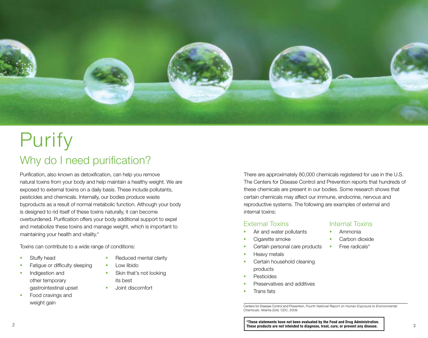

# Why do I need purification? Purify

Purification, also known as detoxification, can help you remove natural toxins from your body and help maintain a healthy weight. We are exposed to external toxins on a daily basis. These include pollutants, pesticides and chemicals. Internally, our bodies produce waste byproducts as a result of normal metabolic function. Although your body is designed to rid itself of these toxins naturally, it can become overburdened. Purification offers your body additional support to expel and metabolize these toxins and manage weight, which is important to maintaining your health and vitality.\*

Toxins can contribute to a wide range of conditions:

- **Stuffy head**
- **Fatigue or difficulty sleeping**
- **Indigestion and** other temporary gastrointestinal upset
- Food cravings and weight gain
- Reduced mental clarity
- **Low libido**
- Skin that's not looking its best
- **Joint discomfort**

There are approximately 80,000 chemicals registered for use in the U.S. The Centers for Disease Control and Prevention reports that hundreds of these chemicals are present in our bodies. Some research shows that certain chemicals may affect our immune, endocrine, nervous and reproductive systems. The following are examples of external and internal toxins:

#### External Toxins

- Air and water pollutants
- **Cigarette smoke**
- **Certain personal care products**
- **Heavy metals**
- **Certain household cleaning** products
- **Pesticides**
- Preservatives and additives
- Trans fats

Centers for Disease Control and Prevention. *Fourth National Report on Human Exposure to Environmental Chemicals*. Atlanta (GA): CDC, 2009.

- Internal Toxins
- Ammonia
- Carbon dioxide
- Free radicals\*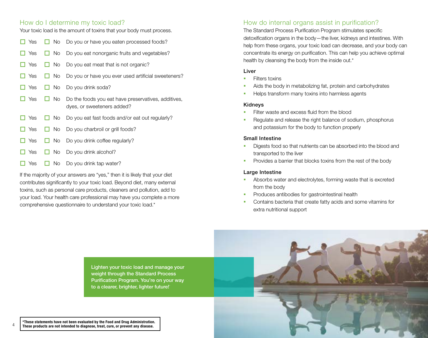#### How do I determine my toxic load?

Your toxic load is the amount of toxins that your body must process.

| Yes        |           | $\Box$ No Do you or have you eaten processed foods?                               |
|------------|-----------|-----------------------------------------------------------------------------------|
| Yes        |           | $\Box$ No Do you eat nonorganic fruits and vegetables?                            |
| $\Box$ Yes |           | $\Box$ No Do you eat meat that is not organic?                                    |
| $\Box$ Yes |           | $\Box$ No Do you or have you ever used artificial sweeteners?                     |
| Yes        | No l      | Do you drink soda?                                                                |
| Yes        | I No      | Do the foods you eat have preservatives, additives,<br>dyes, or sweeteners added? |
| $\Box$ Yes |           | $\Box$ No Do you eat fast foods and/or eat out regularly?                         |
| $\Box$ Yes |           | $\Box$ No Do you charbroil or grill foods?                                        |
| $\Box$ Yes |           | $\Box$ No Do you drink coffee regularly?                                          |
| Yes        | $\Box$ No | Do you drink alcohol?                                                             |
| Yes        | No l      | Do you drink tap water?                                                           |

If the majority of your answers are "yes," then it is likely that your diet contributes significantly to your toxic load. Beyond diet, many external toxins, such as personal care products, cleaners and pollution, add to your load. Your health care professional may have you complete a more comprehensive questionnaire to understand your toxic load.\*

4

#### How do internal organs assist in purification?

The Standard Process Purification Program stimulates specific detoxification organs in the body—the liver, kidneys and intestines. With help from these organs, your toxic load can decrease, and your body can concentrate its energy on purification. This can help you achieve optimal health by cleansing the body from the inside out.\*

#### Liver

- Filters toxins
- Aids the body in metabolizing fat, protein and carbohydrates
- Helps transform many toxins into harmless agents

#### Kidneys

- Filter waste and excess fluid from the blood
- Regulate and release the right balance of sodium, phosphorus and potassium for the body to function properly

#### Small Intestine

- Digests food so that nutrients can be absorbed into the blood and transported to the liver
- **Provides a barrier that blocks toxins from the rest of the body**

#### Large Intestine

- Absorbs water and electrolytes, forming waste that is excreted from the body
- Produces antibodies for gastrointestinal health
- Contains bacteria that create fatty acids and some vitamins for extra nutritional support

Lighten your toxic load and manage your weight through the Standard Process Purification Program. You're on your way to a clearer, brighter, lighter future!' \*These statements have not been evaluated by the Food and Drug Administration. These products are not intended to diagnose, treat, cure, or prevent any disease.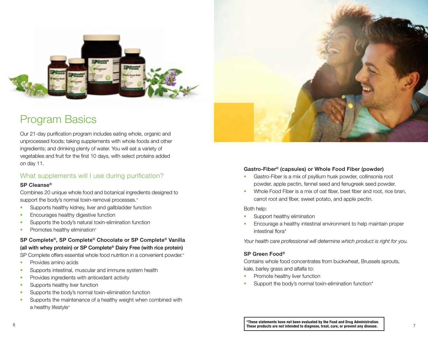

### Program Basics

Our 21-day purification program includes eating whole, organic and unprocessed foods; taking supplements with whole foods and other ingredients; and drinking plenty of water. You will eat a variety of vegetables and fruit for the first 10 days, with select proteins added on day 11.

#### What supplements will I use during purification?

#### SP Cleanse®

Combines 20 unique whole food and botanical ingredients designed to support the body's normal toxin-removal processes.\*

- **Supports healthy kidney, liver and gallbladder function**
- **Encourages healthy digestive function**
- **Supports the body's natural toxin-elimination function**
- **Promotes healthy elimination\***

SP Complete®, SP Complete® Chocolate or SP Complete® Vanilla (all with whey protein) or SP Complete® Dairy Free (with rice protein)

SP Complete offers essential whole food nutrition in a convenient powder.\*

- **Provides amino acids**
- **Supports intestinal, muscular and immune system health**
- **Provides ingredients with antioxidant activity**
- **Supports healthy liver function**
- **Supports the body's normal toxin-elimination function**
- **Supports the maintenance of a healthy weight when combined with** a healthy lifestyle\*



#### Gastro-Fiber® (capsules) or Whole Food Fiber (powder)

- Gastro-Fiber is a mix of psyllium husk powder, collinsonia root powder, apple pectin, fennel seed and fenugreek seed powder.
- **Whole Food Fiber is a mix of oat fiber, beet fiber and root, rice bran,** carrot root and fiber, sweet potato, and apple pectin.

#### Both help:

- Support healthy elimination
- **Encourage a healthy intestinal environment to help maintain proper** intestinal flora\*

*Your health care professional will determine which product is right for you.* 

#### SP Green Food®

Contains whole food concentrates from buckwheat, Brussels sprouts, kale, barley grass and alfalfa to:

- Promote healthy liver function
- Support the body's normal toxin-elimination function\*

6 7 These products are not intended to diagnose, treat, cure, or prevent any disease.\*These statements have not been evaluated by the Food and Drug Administration.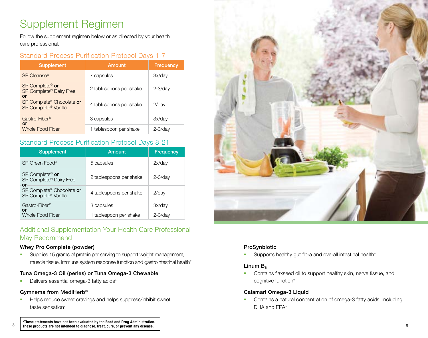### Supplement Regimen

Follow the supplement regimen below or as directed by your health care professional.

#### Standard Process Purification Protocol Days 1-7

| <b>Supplement</b>                                             | Amount                  | Frequency    |
|---------------------------------------------------------------|-------------------------|--------------|
| SP Cleanse <sup>®</sup>                                       | 7 capsules              | 3x/day       |
| SP Complete <sup>®</sup> or<br>SP Complete® Dairy Free<br>or  | 2 tablespoons per shake | $2 - 3$ /day |
| SP Complete <sup>®</sup> Chocolate or<br>SP Complete® Vanilla | 4 tablespoons per shake | $2$ /day     |
| Gastro-Fiber <sup>®</sup><br>or                               | 3 capsules              | 3x/day       |
| <b>Whole Food Fiber</b>                                       | tablespoon per shake    | $2 - 3$ /day |

#### Standard Process Purification Protocol Days 8-21

| <b>Supplement</b>                                                          | Amount                  | <b>Frequency</b> |
|----------------------------------------------------------------------------|-------------------------|------------------|
| SP Green Food®                                                             | 5 capsules              | $2x$ /day        |
| $SP$ Complete <sup>®</sup> or<br>SP Complete <sup>®</sup> Dairy Free<br>or | 2 tablespoons per shake | $2 - 3$ /day     |
| SP Complete® Chocolate or<br>SP Complete® Vanilla                          | 4 tablespoons per shake | $2$ /day         |
| Gastro-Fiber <sup>®</sup><br>or<br>Whole Food Fiber                        | 3 capsules              | 3x/day           |
|                                                                            | 1 tablespoon per shake  | $2 - 3$ /day     |

#### Additional Supplementation Your Health Care Professional May Recommend

#### Whey Pro Complete (powder)

**Supplies 15 grams of protein per serving to support weight management,** muscle tissue, immune system response function and gastrointestinal health\*

#### Tuna Omega-3 Oil (perles) or Tuna Omega-3 Chewable

Delivers essential omega-3 fatty acids\*

#### Gymnema from MediHerb®

**Helps reduce sweet cravings and helps suppress/inhibit sweet** taste sensation\*



#### ProSynbiotic

Supports healthy gut flora and overall intestinal health\*

#### Linum  $B_6$

 Contains flaxseed oil to support healthy skin, nerve tissue, and cognitive function\*

#### Calamari Omega-3 Liquid

**Contains a natural concentration of omega-3 fatty acids, including** DHA and EPA\*

 $^{\bullet}$  \*These statements have not been evaluated by the Food and Drug Administration.<br><sup>8</sup> Diffuse products are not intended to diagnose, treat, cure, or prevent any disease. These products are not intended to diagnose, treat, cure, or prevent any disease.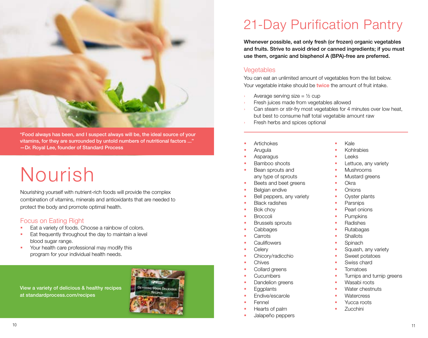

"Food always has been, and I suspect always will be, the ideal source of your vitamins, for they are surrounded by untold numbers of nutritional factors ..." —Dr. Royal Lee, founder of Standard Process

# Nourish

Nourishing yourself with nutrient-rich foods will provide the complex combination of vitamins, minerals and antioxidants that are needed to protect the body and promote optimal health.

#### Focus on Eating Right

- **Eat a variety of foods. Choose a rainbow of colors.**
- **Eat frequently throughout the day to maintain a level** blood sugar range.
- Your health care professional may modify this program for your individual health needs.

View a variety of delicious & healthy recipes at standardprocess.com/recipes



## 21-Day Purification Pantry

Whenever possible, eat only fresh (or frozen) organic vegetables and fruits. Strive to avoid dried or canned ingredients; if you must use them, organic and bisphenol A (BPA)-free are preferred.

#### Vegetables

You can eat an unlimited amount of vegetables from the list below. Your vegetable intake should be twice the amount of fruit intake.

- Average serving size  $=$   $\frac{1}{2}$  cup
- Fresh juices made from vegetables allowed
- Can steam or stir-fry most vegetables for 4 minutes over low heat, but best to consume half total vegetable amount raw
- Fresh herbs and spices optional
- Artichokes
- **Arugula**
- Asparagus
- Bamboo shoots
- Bean sprouts and any type of sprouts
- Beets and beet greens
- Belgian endive
- Bell peppers, any variety
- Black radishes
- Bok choy
- Broccoli
- Brussels sprouts
- Cabbages
- **Carrots**
- **Cauliflowers**
- **Celerv**
- Chicory/radicchio
- **Chives**
- Collard greens
- **Cucumbers**
- Dandelion greens
- **Eggplants**
- Endive/escarole
- Fennel
- Hearts of palm
- Jalapeño peppers
- Kale
- Kohlrabies
- Leeks
- Lettuce, any variety
- Mushrooms
- **Mustard greens**
- **Okra**
- **Onions**
- Oyster plants
- **Parsnips**
- Pearl onions
- Pumpkins
- Radishes
- Rutabagas
- **Shallots**
- **Spinach**
- Squash, any variety
- Sweet potatoes
- Swiss chard
- Tomatoes
- Turnips and turnip greens
- **Wasabi roots**
- **Water chestnuts**
- **Watercress**
- Yucca roots
- Zucchini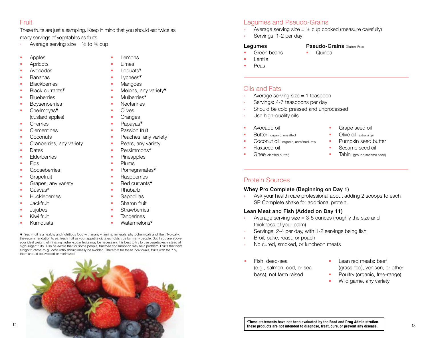#### Fruit

These fruits are just a sampling. Keep in mind that you should eat twice as many servings of vegetables as fruits.

- Average serving size =  $\frac{1}{2}$  to  $\frac{3}{4}$  cup
- **Apples**
- **Apricots**
- Avocados
- **Bananas**
- **Blackberries**
- Black currants<sup>\*</sup>
- **Blueberries**
- **Boysenberries**
- Cherimoyas<sup>®</sup> (custard apples)
- **Cherries**
- **Clementines**
- **Coconuts**
- **Cranberries, any variety**
- **Dates**
- **Elderberries**
- **Figs**
- **Gooseberries**
- **Grapefruit**
- Grapes, any variety
- Guavas<sup></sup>
- **Huckleberries**
- **Jackfruit**
- **Jujubes**
- **Kiwi fruit**
- **Kumquats**
- Lemons Limes
- Loquats<sup>\*</sup>
- Lychees<sup>\*</sup>
- **Mangoes**
- $\blacksquare$  Melons, any variety $\ddot{\boldsymbol{\varepsilon}}$
- **Mulberries**
- **Nectarines**
- **Clives**
- **Cranges**
- Papayas<sup>®</sup>
- **Passion fruit**
- **Peaches, any variety**
- **Pears, any variety**
- Persimmons<sup>®</sup>
- **Pineapples**
- **Plums**
- **Pomegranates**<sup>\*</sup>
- Raspberries
- Red currants<sup>\*</sup>
- Rhubarb
- **Sapodillas**
- Sharon fruit
- **Strawberries**
- **Tangerines**
- Watermelons<sup></sup>

❦ Fresh fruit is a healthy and nutritious food with many vitamins, minerals, phytochemicals and fiber. Typically, the recommendation to eat fresh fruit as your appetite dictates holds true for many people. But if you are above your ideal weight, eliminating higher-sugar fruits may be necessary. It is best to try to use vegetables instead of high-sugar fruits. Also be aware that for some people, fructose consumption may be a problem. Fruits that have a high fructose-to-glucose ratio should ideally be avoided. Therefore for these individuals, fruits with the <sup>\*</sup> by them should be avoided or minimized.



- Legumes and Pseudo-Grains
- Average serving size =  $\frac{1}{2}$  cup cooked (measure carefully)
- Servings: 1-2 per day

#### Legumes

- Green beans
- **Pseudo-Grains Gluten-Free**
- **Cuinoa**
- Lentils
- Peas

#### Oils and Fats

- Average serving size  $= 1$  teaspoon
- Servings: 4-7 teaspoons per day
- Should be cold pressed and unprocessed
- Use high-quality oils
- Avocado oil
- Butter: organic, unsalted
- Coconut oil: organic, unrefined, raw
- Flaxseed oil
- Ghee (clarified butter)
- Grape seed oil
- Olive oil: extra virgin
- Pumpkin seed butter
- Sesame seed oil
- Tahini (ground sesame seed)

#### Protein Sources

#### Whey Pro Complete (Beginning on Day 1)

Ask your health care professional about adding 2 scoops to each SP Complete shake for additional protein.

#### Lean Meat and Fish (Added on Day 11)

- Average serving size  $= 3-5$  ounces (roughly the size and thickness of your palm)
- Servings: 2-4 per day, with 1-2 servings being fish
- Broil, bake, roast, or poach
- No cured, smoked, or luncheon meats
- Fish: deep-sea (e.g., salmon, cod, or sea bass), not farm raised
- Lean red meats: beef (grass-fed), venison, or other
- Poultry (organic, free-range)
- Wild game, any variety

\*These statements have not been evaluated by the Food and Drug Administration.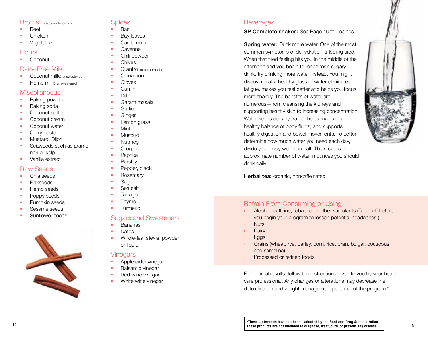#### Broths: ready-made, organic

- **Beef**
- Chicken
- **v**egetable

#### Flours

**Coconut** 

#### Dairy-Free Milk

- Coconut milk: unsweetened
- **Hemp milk:** unsweetened

#### **Miscellaneous**

- **Baking powder**
- **Baking soda**
- **Coconut butter**
- **Coconut cream**
- **Coconut water**
- **Curry paste**
- **Mustard, Dijon**
- Seaweeds such as arame. nori or kelp
- **vanilla extract**

#### Raw Seeds

- **Chia seeds**
- **Flaxseeds**
- **Hemp seeds**
- **Poppy seeds**
- **Pumpkin seeds**
- **Sesame seeds**
- Sunflower seeds



#### Spices

- Basil
- Bay leaves
- Cardamom
- **Cavenne**
- **Chili powder**
- **Chives**
- Cilantro (fresh coriander)
- Cinnamon
- Cloves
- $C$ umin
- **Dill**
- Garam masala
- Garlic
- **Ginger**
- Lemon grass
- **Mint**
- Mustard
- Nutmea
- **Cregano**
- **Paprika**
- **Parsley**
- **Pepper, black**
- **Rosemary**
- Sage
- Sea salt
- **Tarragon**
- Thyme
- Turmeric

#### Sugars and Sweeteners

- **Bananas**
- **Dates**
- Whole-leaf stevia, powder or liquid

#### Vinegars

- Apple cider vinegar
- Balsamic vinegar
- Red wine vinegar
- **White wine vinegar**

#### **Beverages**

#### SP Complete shakes: See Page 46 for recipes.

**Spring water:** Drink more water. One of the most common symptoms of dehydration is feeling tired . When that tired feeling hits you in the middle of the afternoon and you begin to reach for a sugary drink, try drinking more water instead . You might discover that a healthy glass of water eliminates fatigue, makes you feel better and helps you focus more sharply . The benefits of water are numerous—from cleansing the kidneys and supporting healthy skin to increasing concentration . Water keeps cells hydrated, helps maintain a healthy balance of body fluids, and supports healthy digestion and bowel movements . To better determine how much water you need each day, divide your body weight in half . The result is the approximate number of water in ounces you should drink daily .



Herbal tea: organic, noncaffeinated

#### Refrain From Consuming or Using

- Alcohol, caffeine, tobacco or other stimulants (Taper off before you begin your program to lessen potential headaches . )
- **Nuts**
- 
- Dairy<br>Eggs
- Grains (wheat, rye, barley, corn, rice, bran, bulgar, couscous and semolina)
- Processed or refined foods

For optimal results, follow the instructions given to you by your health care professional . Any changes or alterations may decrease the detoxification and weight-management potential of the program . \*

14 **14 These products are not intended to diagnose, treat, cure, or prevent any disease.** 15 \*These statements have not been evaluated by the Food and Drug Administration.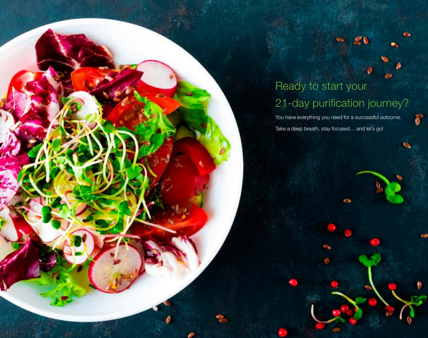# Ready to start your 21-day purification journey?

÷

 $\mathcal{S}$ 

You have everything you need for a successful outcome. Take a deep breath, stay focused… and let's go!

**These products are not intended to diagnose, treat, cure, or prevent any disease.** 

<sup>16</sup> <sup>17</sup> **These statements have not been evaluated by the Food and Drug Administration.**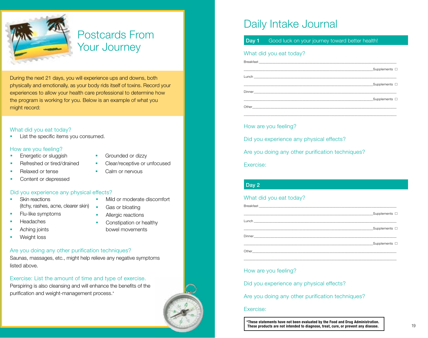

### Postcards From Your Journey

During the next 21 days, you will experience ups and downs, both physically and emotionally, as your body rids itself of toxins. Record your experiences to allow your health care professional to determine how the program is working for you. Below is an example of what you might record:

#### What did you eat today?

List the specific items you consumed.

#### How are you feeling?

- Energetic or sluggish
- Refreshed or tired/drained
- Relaxed or tense
- Content or depressed

#### Did you experience any physical effects?

- Skin reactions (itchy, rashes, acne, clearer skin)
- Flu-like symptoms
- **Headaches**
- Aching joints
- **Weight loss**
- Grounded or dizzy
- Clear/receptive or unfocused
- Calm or nervous
- Mild or moderate discomfort
- **Gas or bloating** 
	- Allergic reactions
- Constipation or healthy bowel movements
- Are you doing any other purification techniques?

Saunas, massages, etc., might help relieve any negative symptoms listed above.

#### Exercise: List the amount of time and type of exercise.

Perspiring is also cleansing and will enhance the benefits of the purification and weight-management process.\*



### Daily Intake Journal

#### Day 1 Good luck on your journey toward better health!

#### What did you eat today?

| $\Box$ Supplements $\Box$                                  |  |
|------------------------------------------------------------|--|
|                                                            |  |
| Design and the control of the control of the Complements □ |  |
|                                                            |  |

\_\_\_\_\_\_\_\_\_\_\_\_\_\_\_\_\_\_\_\_\_\_\_\_\_\_\_\_\_\_\_\_\_\_\_\_\_\_\_\_\_\_\_\_\_\_\_\_\_\_\_\_\_\_\_\_\_\_\_\_\_\_\_\_\_\_\_\_\_\_\_\_\_\_\_\_\_\_\_\_\_\_\_\_\_\_\_\_\_\_\_

#### How are you feeling?

Did you experience any physical effects?

Are you doing any other purification techniques?

Exercise:

#### Day 2

#### What did you eat today?

|                                                                                                                                 | Supplements $\square$ |
|---------------------------------------------------------------------------------------------------------------------------------|-----------------------|
|                                                                                                                                 |                       |
|                                                                                                                                 | Supplements $\square$ |
|                                                                                                                                 |                       |
|                                                                                                                                 | Supplements $\square$ |
| Other<br><u> 1980 - Johann John Stein, market fan it ferskearre fan it ferskearre fan it ferskearre fan it ferskearre fan i</u> |                       |

\_\_\_\_\_\_\_\_\_\_\_\_\_\_\_\_\_\_\_\_\_\_\_\_\_\_\_\_\_\_\_\_\_\_\_\_\_\_\_\_\_\_\_\_\_\_\_\_\_\_\_\_\_\_\_\_\_\_\_\_\_\_\_\_\_\_\_\_\_\_\_\_\_\_\_\_\_\_\_\_\_\_\_\_\_\_\_\_\_\_\_

#### How are you feeling?

Did you experience any physical effects?

Are you doing any other purification techniques?

#### Exercise:

18 18 19 These products are not intended to diagnose, treat, cure, or prevent any disease.\*These statements have not been evaluated by the Food and Drug Administration.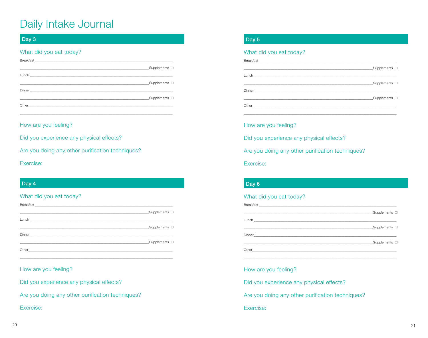#### Day 3

#### What did you eat today?

| Supplements $\square$ |
|-----------------------|
|                       |
| ■ Supplements □       |
|                       |
| Supplements $\square$ |
|                       |
|                       |

How are you feeling?

Did you experience any physical effects?

Are you doing any other purification techniques?

Exercise:

#### Day 4

#### What did you eat today?

| Supplements $\square$ |
|-----------------------|
|                       |
| Supplements $\square$ |
|                       |
| Supplements $\square$ |
|                       |

#### How are you feeling?

Did you experience any physical effects?

Are you doing any other purification techniques?

#### Exercise:

#### Day 5

#### What did you eat today?

| Design and the Supplements □              |
|-------------------------------------------|
|                                           |
| Design and the Supplements □              |
|                                           |
| Design and the state of the Supplements □ |

#### How are you feeling?

Did you experience any physical effects?

Are you doing any other purification techniques?

Exercise:

#### Day 6

#### What did you eat today?

| Supplements $\square$     |
|---------------------------|
|                           |
| $\Box$ Supplements $\Box$ |
|                           |
| Supplements $\square$     |
|                           |

#### How are you feeling?

Did you experience any physical effects?

Are you doing any other purification techniques?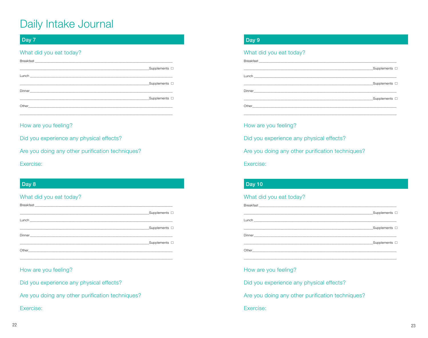#### Day 7

#### What did you eat today?

| $\Box$ Supplements $\Box$ |
|---------------------------|
|                           |
|                           |
|                           |
| Supplements $\square$     |
|                           |
|                           |

How are you feeling?

Did you experience any physical effects?

Are you doing any other purification techniques?

Exercise:

#### Day 8

#### What did you eat today?

| Supplements $\square$ |
|-----------------------|
|                       |
| Supplements $\square$ |
|                       |
| Supplements $\square$ |
|                       |

#### How are you feeling?

Did you experience any physical effects?

Are you doing any other purification techniques?

Exercise:

#### Day 9

#### What did you eat today?

| Supplements $\square$ |
|-----------------------|
|                       |
| Supplements $\square$ |
|                       |
| Supplements $\square$ |
|                       |

How are you feeling?

Did you experience any physical effects?

Are you doing any other purification techniques?

Exercise:

#### **Day 10**

#### What did you eat today?

| Supplements $\square$     |
|---------------------------|
|                           |
| $\Box$ Supplements $\Box$ |
|                           |
| Supplements $\square$     |
|                           |

#### How are you feeling?

Did you experience any physical effects?

Are you doing any other purification techniques?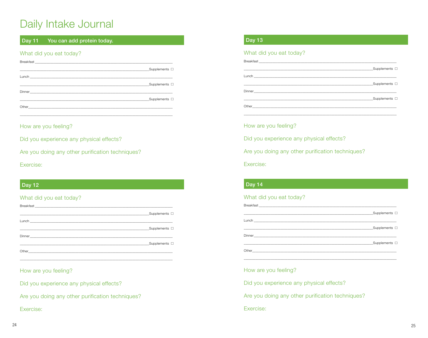#### **Day 11** You can add protein today.

#### What did you eat today?

| $\Box$ Supplements $\Box$ |
|---------------------------|
|                           |
| Supplements $\square$     |
|                           |
| <u>Supplements</u> □      |
|                           |
|                           |

How are you feeling?

Did you experience any physical effects?

Are you doing any other purification techniques?

Exercise:

#### **Day 12**

#### What did you eat today?

| Supplements $\square$     |
|---------------------------|
|                           |
|                           |
|                           |
| $\Box$ Supplements $\Box$ |
|                           |

#### How are you feeling?

Did you experience any physical effects?

Are you doing any other purification techniques?

Exercise:

#### **Day 13**

#### What did you eat today?

| Supplements $\square$ |
|-----------------------|
|                       |
| Supplements $\square$ |
|                       |
|                       |
|                       |
|                       |

How are you feeling?

Did you experience any physical effects?

Are you doing any other purification techniques?

Exercise:

#### $\sqrt{2}$  Day 14

#### What did you eat today?

| Supplements $\square$     |
|---------------------------|
|                           |
| $\Box$ Supplements $\Box$ |
|                           |
| Supplements $\square$     |
|                           |

#### How are you feeling?

Did you experience any physical effects?

Are you doing any other purification techniques?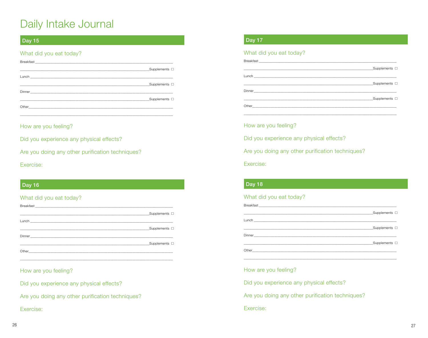#### **Day 15**

#### What did you eat today?

|                                                                                                                | Supplements $\square$ |
|----------------------------------------------------------------------------------------------------------------|-----------------------|
|                                                                                                                |                       |
|                                                                                                                | Supplements $\square$ |
|                                                                                                                |                       |
|                                                                                                                | Supplements $\square$ |
| Other than the contract of the contract of the contract of the contract of the contract of the contract of the |                       |
|                                                                                                                |                       |

How are you feeling?

Did you experience any physical effects?

Are you doing any other purification techniques?

Exercise:

#### **Day 16**

#### What did you eat today?

| Supplements $\square$ |
|-----------------------|
|                       |
| Supplements $\square$ |
|                       |
| Supplements $\square$ |
|                       |

#### How are you feeling?

Did you experience any physical effects?

Are you doing any other purification techniques?

Exercise:

#### **Day 17**

#### What did you eat today?

| Supplements $\square$ |
|-----------------------|
|                       |
| Supplements $\square$ |
|                       |
| Supplements $\square$ |
|                       |

How are you feeling?

Did you experience any physical effects?

Are you doing any other purification techniques?

Exercise:

#### **Day 18**

#### What did you eat today?

| Supplements $\square$ |
|-----------------------|
|                       |
| Supplements $\square$ |
|                       |
| Supplements $\square$ |
|                       |

#### How are you feeling?

Did you experience any physical effects?

Are you doing any other purification techniques?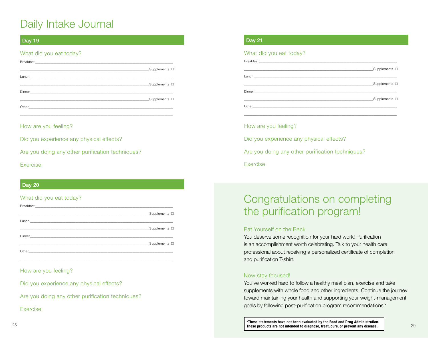#### Day 19

#### What did you eat today?

| Supplements $\square$ |
|-----------------------|
|                       |
| Supplements $\square$ |
|                       |
| Supplements $\square$ |
|                       |
|                       |

How are you feeling?

Did you experience any physical effects?

Are you doing any other purification techniques?

Exercise:

#### Day 20

#### What did you eat today?

| $\Box$ Supplements $\Box$ |
|---------------------------|
|                           |
|                           |
|                           |
| Supplements $\square$     |
|                           |

\_\_\_\_\_\_\_\_\_\_\_\_\_\_\_\_\_\_\_\_\_\_\_\_\_\_\_\_\_\_\_\_\_\_\_\_\_\_\_\_\_\_\_\_\_\_\_\_\_\_\_\_\_\_\_\_\_\_\_\_\_\_\_\_\_\_\_\_\_\_\_\_\_\_\_\_\_\_\_\_\_\_\_\_\_\_\_\_\_\_\_

#### How are you feeling?

Did you experience any physical effects?

Are you doing any other purification techniques?

Exercise:

#### Day 21

#### What did you eat today?

| Supplements $\square$ |
|-----------------------|
|                       |
| Supplements $\square$ |
|                       |
| Supplements $\square$ |
|                       |
|                       |

How are you feeling?

Did you experience any physical effects?

Are you doing any other purification techniques?

Exercise:

### Congratulations on completing the purification program!

#### Pat Yourself on the Back

You deserve some recognition for your hard work! Purification is an accomplishment worth celebrating. Talk to your health care professional about receiving a personalized certificate of completion and purification T-shirt.

#### Now stay focused!

You've worked hard to follow a healthy meal plan, exercise and take supplements with whole food and other ingredients. Continue the journey toward maintaining your health and supporting your weight-management goals by following post-purification program recommendations.\*

28 29 These products are not intended to diagnose, treat, cure, or prevent any disease. 29\*These statements have not been evaluated by the Food and Drug Administration.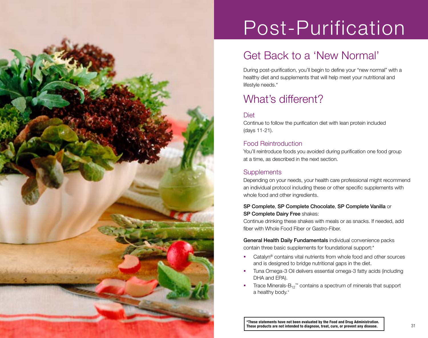

# Post-Purification

### Get Back to a 'New Normal'

During post-purification, you'll begin to define your "new normal" with a healthy diet and supplements that will help meet your nutritional and lifestyle needs .\*

### What's different?

#### **Diet**

Continue to follow the purification diet with lean protein included (days 11-21) .

#### Food Reintroduction

You'll reintroduce foods you avoided during purification one food group at a time, as described in the next section .

#### **Supplements**

Depending on your needs, your health care professional might recommend an individual protocol including these or other specific supplements with whole food and other ingredients .

#### SP Complete, SP Complete Chocolate, SP Complete Vanilla or SP Complete Dairy Free shakes:

Continue drinking these shakes with meals or as snacks . If needed, add fiber with Whole Food Fiber or Gastro-Fiber.

General Health Daily Fundamentals individual convenience packs contain three basic supplements for foundational support:\*

- Catalyn<sup>®</sup> contains vital nutrients from whole food and other sources and is designed to bridge nutritional gaps in the diet .
- Tuna Omega-3 Oil delivers essential omega-3 fatty acids (including DHA and EPA) .
- $\blacksquare$  Trace Minerals-B<sub>12</sub><sup>™</sup> contains a spectrum of minerals that support a healthy body . \*

\*These statements have not been evaluated by the Food and Drug Administration.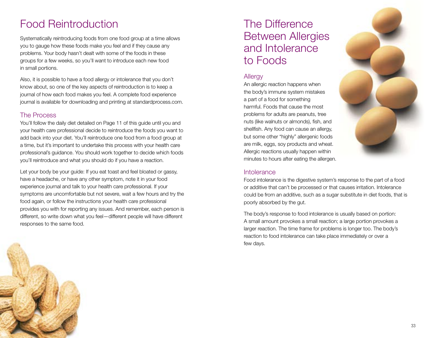### Food Reintroduction

Systematically reintroducing foods from one food group at a time allows you to gauge how these foods make you feel and if they cause any problems. Your body hasn't dealt with some of the foods in these groups for a few weeks, so you'll want to introduce each new food in small portions.

Also, it is possible to have a food allergy or intolerance that you don't know about, so one of the key aspects of reintroduction is to keep a journal of how each food makes you feel. A complete food experience journal is available for downloading and printing at standardprocess.com.

#### The Process

You'll follow the daily diet detailed on Page 11 of this guide until you and your health care professional decide to reintroduce the foods you want to add back into your diet. You'll reintroduce one food from a food group at a time, but it's important to undertake this process with your health care professional's guidance. You should work together to decide which foods you'll reintroduce and what you should do if you have a reaction.

Let your body be your guide: If you eat toast and feel bloated or gassy, have a headache, or have any other symptom, note it in your food experience journal and talk to your health care professional. If your symptoms are uncomfortable but not severe, wait a few hours and try the food again, or follow the instructions your health care professional provides you with for reporting any issues. And remember, each person is different, so write down what you feel—different people will have different responses to the same food.

### The Difference Between Allergies and Intolerance to Foods

#### **Allergy**

An allergic reaction happens when the body's immune system mistakes a part of a food for something harmful. Foods that cause the most problems for adults are peanuts, tree nuts (like walnuts or almonds), fish, and shellfish. Any food can cause an allergy, but some other "highly" allergenic foods are milk, eggs, soy products and wheat. Allergic reactions usually happen within minutes to hours after eating the allergen.



#### **Intolerance**

Food intolerance is the digestive system's response to the part of a food or additive that can't be processed or that causes irritation. Intolerance could be from an additive, such as a sugar substitute in diet foods, that is poorly absorbed by the gut.

The body's response to food intolerance is usually based on portion: A small amount provokes a small reaction; a large portion provokes a larger reaction. The time frame for problems is longer too. The body's reaction to food intolerance can take place immediately or over a few days.

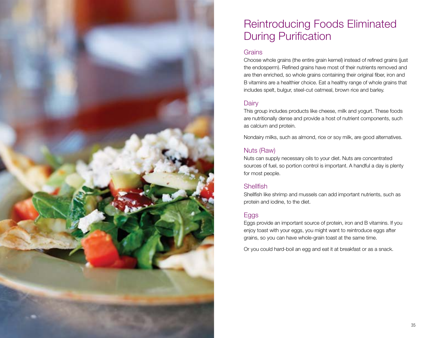

### Reintroducing Foods Eliminated During Purification

#### **Grains**

Choose whole grains (the entire grain kernel) instead of refined grains (just the endosperm) . Refined grains have most of their nutrients removed and are then enriched, so whole grains containing their original fiber, iron and B vitamins are a healthier choice . Eat a healthy range of whole grains that includes spelt, bulgur, steel-cut oatmeal, brown rice and barley.

#### **Dairy**

This group includes products like cheese, milk and yogurt . These foods are nutritionally dense and provide a host of nutrient components, such as calcium and protein .

Nondairy milks, such as almond, rice or soy milk, are good alternatives .

#### Nuts (Raw)

Nuts can supply necessary oils to your diet . Nuts are concentrated sources of fuel, so portion control is important . A handful a day is plenty for most people .

#### **Shellfish**

Shellfish like shrimp and mussels can add important nutrients, such as protein and iodine, to the diet .

#### Eggs

Eggs provide an important source of protein, iron and B vitamins . If you enjoy toast with your eggs, you might want to reintroduce eggs after grains, so you can have whole-grain toast at the same time .

Or you could hard-boil an egg and eat it at breakfast or as a snack .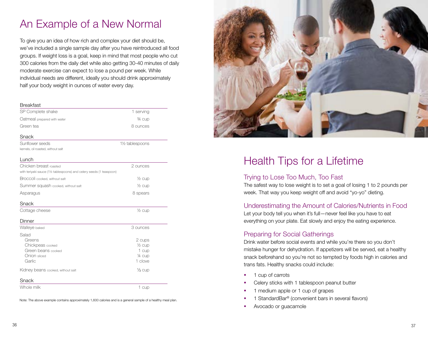### An Example of a New Normal

To give you an idea of how rich and complex your diet should be, we've included a single sample day after you have reintroduced all food groups. If weight loss is a goal, keep in mind that most people who cut 300 calories from the daily diet while also getting 30-40 minutes of daily moderate exercise can expect to lose a pound per week. While individual needs are different, ideally you should drink approximately half your body weight in ounces of water every day.

#### Breakfast

| SP Complete shake                                                    | 1 serving                    |  |
|----------------------------------------------------------------------|------------------------------|--|
| Oatmeal prepared with water                                          | 3⁄4 cup                      |  |
| Green tea                                                            | 8 ounces                     |  |
| Snack                                                                |                              |  |
| Sunflower seeds                                                      | 11/ <sub>2</sub> tablespoons |  |
| kernels, oil roasted, without salt                                   |                              |  |
| Lunch                                                                |                              |  |
| Chicken breast roasted                                               | 2 ounces                     |  |
| with teriyaki sauce (11/2 tablespoons) and celery seeds (1 teaspoon) |                              |  |
| Broccoli cooked, without salt                                        | $\frac{1}{2}$ cup            |  |
| Summer squash cooked, without salt                                   | $\frac{1}{2}$ cup            |  |
| Asparagus                                                            | 8 spears                     |  |
| Snack                                                                |                              |  |
| Cottage cheese                                                       | $\frac{1}{2}$ cup            |  |
| Dinner                                                               |                              |  |
| Walleye baked                                                        | 3 ounces                     |  |
| Salad                                                                |                              |  |
| Greens                                                               | 2 cups                       |  |
| Chickpeas cooked                                                     | $\frac{1}{2}$ cup            |  |
| Green beans cooked                                                   | 1 cup                        |  |
| Onion sliced                                                         | 1⁄4 cup                      |  |
| Garlic                                                               | 1 clove                      |  |
| Kidney beans cooked, without salt                                    | $\frac{1}{3}$ cup            |  |
| Snack                                                                |                              |  |
| Whole milk                                                           | 1 cup                        |  |

Note: The above example contains approximately 1,600 calories and is a general sample of a healthy meal plan.



### Health Tips for a Lifetime

#### Trying to Lose Too Much, Too Fast

The safest way to lose weight is to set a goal of losing 1 to 2 pounds per week. That way you keep weight off and avoid "yo-yo" dieting.

#### Underestimating the Amount of Calories/Nutrients in Food

Let your body tell you when it's full—never feel like you have to eat everything on your plate. Eat slowly and enjoy the eating experience.

#### Preparing for Social Gatherings

Drink water before social events and while you're there so you don't mistake hunger for dehydration. If appetizers will be served, eat a healthy snack beforehand so you're not so tempted by foods high in calories and trans fats. Healthy snacks could include:

- 1 cup of carrots
- Celery sticks with 1 tablespoon peanut butter
- 1 medium apple or 1 cup of grapes
- 1 StandardBar® (convenient bars in several flavors)
- Avocado or guacamole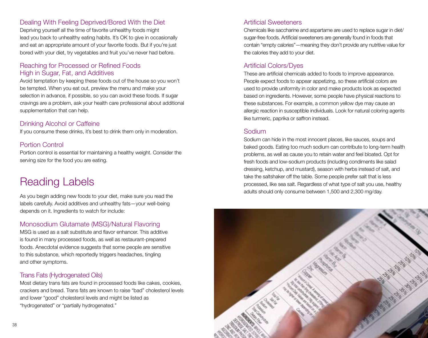#### Dealing With Feeling Deprived/Bored With the Diet

Depriving yourself all the time of favorite unhealthy foods might lead you back to unhealthy eating habits. It's OK to give in occasionally and eat an appropriate amount of your favorite foods. But if you're just bored with your diet, try vegetables and fruit you've never had before.

#### Reaching for Processed or Refined Foods High in Sugar, Fat, and Additives

Avoid temptation by keeping these foods out of the house so you won't be tempted. When you eat out, preview the menu and make your selection in advance, if possible, so you can avoid these foods. If sugar cravings are a problem, ask your health care professional about additional supplementation that can help.

#### Drinking Alcohol or Caffeine

If you consume these drinks, it's best to drink them only in moderation.

#### Portion Control

Portion control is essential for maintaining a healthy weight. Consider the serving size for the food you are eating.

### Reading Labels

As you begin adding new foods to your diet, make sure you read the labels carefully. Avoid additives and unhealthy fats—your well-being depends on it. Ingredients to watch for include:

#### Monosodium Glutamate (MSG)/Natural Flavoring

MSG is used as a salt substitute and flavor enhancer. This additive is found in many processed foods, as well as restaurant-prepared foods. Anecdotal evidence suggests that some people are sensitive to this substance, which reportedly triggers headaches, tingling and other symptoms.

#### Trans Fats (Hydrogenated Oils)

Most dietary trans fats are found in processed foods like cakes, cookies, crackers and bread. Trans fats are known to raise "bad" cholesterol levels and lower "good" cholesterol levels and might be listed as "hydrogenated" or "partially hydrogenated."

#### Artificial Sweeteners

Chemicals like saccharine and aspartame are used to replace sugar in diet/ sugar-free foods. Artificial sweeteners are generally found in foods that contain "empty calories"—meaning they don't provide any nutritive value for the calories they add to your diet.

#### Artificial Colors/Dyes

These are artificial chemicals added to foods to improve appearance. People expect foods to appear appetizing, so these artificial colors are used to provide uniformity in color and make products look as expected based on ingredients. However, some people have physical reactions to these substances. For example, a common yellow dye may cause an allergic reaction in susceptible individuals. Look for natural coloring agents like turmeric, paprika or saffron instead.

#### Sodium

Sodium can hide in the most innocent places, like sauces, soups and baked goods. Eating too much sodium can contribute to long-term health problems, as well as cause you to retain water and feel bloated. Opt for fresh foods and low-sodium products (including condiments like salad dressing, ketchup, and mustard), season with herbs instead of salt, and take the saltshaker off the table. Some people prefer salt that is less processed, like sea salt. Regardless of what type of salt you use, healthy adults should only consume between 1,500 and 2,300 mg/day.

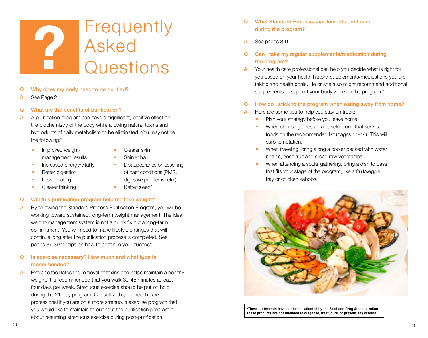# **Frequently** Asked **Particle Second**<br> **Particle Second**<br> **Particle Second**<br> **Particle Second**<br> **Particle Second**<br> **Particle Second**<br> **Particle Second**

- Q Why does my body need to be purified?
- A See Page 2.
- Q What are the benefits of purification?
- A A purification program can have a significant, positive effect on the biochemistry of the body while allowing natural toxins and byproducts of daily metabolism to be eliminated. You may notice the following:\*
	- **Improved weight**management results
- Clearer skin
- Shinier hair **Disappearance or lessening**
- **Increased energy/vitality**
- Better digestion
- Less bloating
- Clearer thinking

digestive problems, etc.)

of past conditions (PMS,

**Better sleep\*** 

#### Q Will this purification program help me lose weight?

- A By following the Standard Process Purification Program, you will be working toward sustained, long-term weight management. The ideal weight-management system is not a quick fix but a long-term commitment. You will need to make lifestyle changes that will continue long after the purification process is completed. See pages 37-39 for tips on how to continue your success.
- Q Is exercise necessary? How much and what type is recommended?
- $\mathsf{\mathsf{A}}$  Exercise facilitates the removal of toxins and helps maintain a healthy weight. It is recommended that you walk 30-45 minutes at least four days per week. Strenuous exercise should be put on hold during the 21-day program. Consult with your health care professional if you are on a more strenuous exercise program that you would like to maintain throughout the purification program or about resuming strenuous exercise during post-purification.
- Q What Standard Process supplements are taken during the program?
- A See pages 8-9.
- Q Can I take my regular supplements/medication during the program?
- A Your health care professional can help you decide what is right for you based on your health history, supplements/medications you are taking and health goals. He or she also might recommend additional supplements to support your body while on the program.<sup>\*</sup>
- Q How do I stick to the program when eating away from home?
- A Here are some tips to help you stay on track:
	- Plan your strategy before you leave home.
	- When choosing a restaurant, select one that serves foods on the recommended list (pages 11-14). This will curb temptation.
	- When traveling, bring along a cooler packed with water bottles, fresh fruit and sliced raw vegetables.
	- When attending a social gathering, bring a dish to pass that fits your stage of the program, like a fruit/veggie tray or chicken kabobs.



\*These statements have not been evaluated by the Food and Drug Administration. These products are not intended to diagnose, treat, cure, or prevent any disease.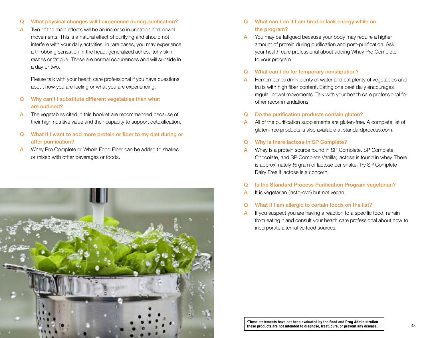- Q What physical changes will I experience during purification?
- A Two of the main effects will be an increase in urination and bowel movements. This is a natural effect of purifying and should not interfere with your daily activities. In rare cases, you may experience a throbbing sensation in the head, generalized aches, itchy skin, rashes or fatigue. These are normal occurrences and will subside in a day or two.

Please talk with your health care professional if you have questions about how you are feeling or what you are experiencing.

- Q Why can't I substitute different vegetables than what are outlined?
- A The vegetables cited in this booklet are recommended because of their high nutritive value and their capacity to support detoxification.
- Q What if I want to add more protein or fiber to my diet during or after purification?
- A Whey Pro Complete or Whole Food Fiber can be added to shakes or mixed with other beverages or foods.



- Q What can I do if I am tired or lack energy while on the program?
- You may be fatigued because your body may require a higher amount of protein during purification and post-purification. Ask your health care professional about adding Whey Pro Complete to your program.

#### Q What can I do for temporary constipation?

- A Remember to drink plenty of water and eat plenty of vegetables and fruits with high fiber content. Eating one beet daily encourages regular bowel movements. Talk with your health care professional for other recommendations.
- Q Do the purification products contain gluten?
- A All of the purification supplements are gluten-free. A complete list of gluten-free products is also available at standardprocess.com.
- Q Why is there lactose in SP Complete?
- A Whey is a protein source found in SP Complete, SP Complete Chocolate, and SP Complete Vanilla; lactose is found in whey. There is approximately ½ gram of lactose per shake. Try SP Complete Dairy Free if lactose is a concern.
- Q Is the Standard Process Purification Program vegetarian?
- A It is vegetarian (lacto-ovo) but not vegan.
- Q What if I am allergic to certain foods on the list?
- $\mathsf{\mathsf{A}}$  If you suspect you are having a reaction to a specific food, refrain from eating it and consult your health care professional about how to incorporate alternative food sources.

\*These statements have not been evaluated by the Food and Drug Administration.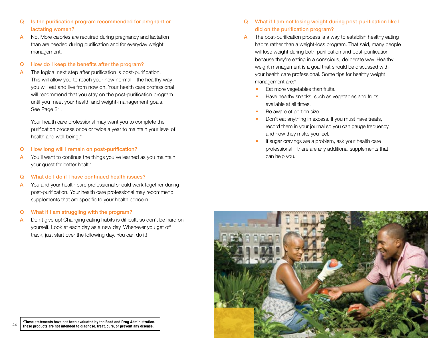- Q Is the purification program recommended for pregnant or lactating women?
- A No. More calories are required during pregnancy and lactation than are needed during purification and for everyday weight management.
- Q How do I keep the benefits after the program?
- A The logical next step after purification is post-purification. This will allow you to reach your new normal—the healthy way you will eat and live from now on. Your health care professional will recommend that you stay on the post-purification program until you meet your health and weight-management goals. See Page 31.

Your health care professional may want you to complete the purification process once or twice a year to maintain your level of health and well-being.\*

- Q How long will I remain on post-purification?
- A You'll want to continue the things you've learned as you maintain your quest for better health.
- Q What do I do if I have continued health issues?
- A You and your health care professional should work together during post-purification. Your health care professional may recommend supplements that are specific to your health concern.

#### Q What if I am struggling with the program?

A Don't give up! Changing eating habits is difficult, so don't be hard on yourself. Look at each day as a new day. Whenever you get off track, just start over the following day. You can do it!

#### Q What if I am not losing weight during post-purification like I did on the purification program?

- The post-purification process is a way to establish healthy eating habits rather than a weight-loss program. That said, many people will lose weight during both purification and post-purification because they're eating in a conscious, deliberate way. Healthy weight management is a goal that should be discussed with your health care professional. Some tips for healthy weight management are:\*
	- Eat more vegetables than fruits.
	- Have healthy snacks, such as vegetables and fruits, available at all times.
	- Be aware of portion size.
	- Don't eat anything in excess. If you must have treats, record them in your journal so you can gauge frequency and how they make you feel.
	- If sugar cravings are a problem, ask your health care professional if there are any additional supplements that can help you.

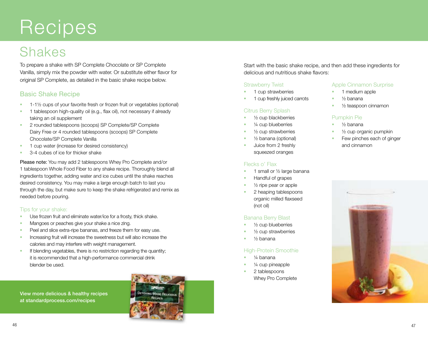# **Recipes**

## Shakes

To prepare a shake with SP Complete Chocolate or SP Complete Vanilla, simply mix the powder with water. Or substitute either flavor for original SP Complete, as detailed in the basic shake recipe below.

#### Basic Shake Recipe

- $\blacksquare$  1-1½ cups of your favorite fresh or frozen fruit or vegetables (optional)
- <sup>1</sup> 1 tablespoon high-quality oil (e.g., flax oil), not necessary if already taking an oil supplement
- <sup>2</sup> 2 rounded tablespoons (scoops) SP Complete/SP Complete Dairy Free or 4 rounded tablespoons (scoops) SP Complete Chocolate/SP Complete Vanilla
- <sup>1</sup> 1 cup water (increase for desired consistency)
- 3-4 cubes of ice for thicker shake

Please note: You may add 2 tablespoons Whey Pro Complete and/or 1 tablespoon Whole Food Fiber to any shake recipe. Thoroughly blend all ingredients together, adding water and ice cubes until the shake reaches desired consistency. You may make a large enough batch to last you through the day, but make sure to keep the shake refrigerated and remix as needed before pouring.

#### Tips for your shake:

- Use frozen fruit and eliminate water/ice for a frosty, thick shake.
- Mangoes or peaches give your shake a nice zing.
- **Peel and slice extra-ripe bananas, and freeze them for easy use.**
- Increasing fruit will increase the sweetness but will also increase the calories and may interfere with weight management.
- If blending vegetables, there is no restriction regarding the quantity; it is recommended that a high-performance commercial drink blender be used.

View more delicious & healthy recipes at standardprocess.com/recipes



Start with the basic shake recipe, and then add these ingredients for delicious and nutritious shake flavors:

#### Strawberry Twist

- 1 cup strawberries
- 1 cup freshly juiced carrots

#### Citrus Berry Splash

- ½ cup blackberries
- ¼ cup blueberries
- ½ cup strawberries
- ½ banana (optional)
- Juice from 2 freshly squeezed oranges

#### Flecks o' Flax

- 1 small or ½ large banana
- Handful of grapes
- ½ ripe pear or apple
- 2 heaping tablespoons organic milled flaxseed (not oil)

#### Banana Berry Blast

- ½ cup blueberries
- ½ cup strawberries
- ½ banana

#### High-Protein Smoothie

- ¼ banana
- ¼ cup pineapple
- 2 tablespoons Whey Pro Complete

#### Apple Cinnamon Surprise

- 1 medium apple
- ½ banana
- ½ teaspoon cinnamon

#### Pumpkin Pie

- 1/<sub>2</sub> banana
- ½ cup organic pumpkin
- Few pinches each of ginger and cinnamon

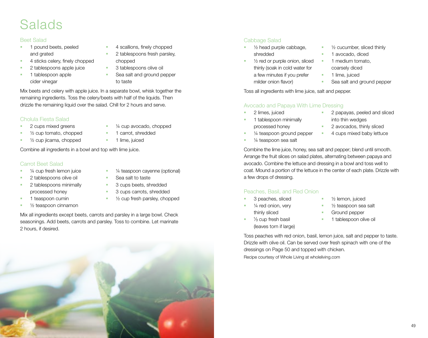# Salads

#### Beet Salad

- 1 pound beets, peeled and grated
- 4 sticks celery, finely chopped
- 2 tablespoons apple juice
- 1 tablespoon apple cider vinegar
- 4 scallions, finely chopped
- 2 tablespoons fresh parsley, chopped
- 3 tablespoons olive oil
- Sea salt and ground pepper to taste

¼ cup avocado, chopped

Mix beets and celery with apple juice. In a separate bowl, whisk together the remaining ingredients. Toss the celery/beets with half of the liquids. Then drizzle the remaining liquid over the salad. Chill for 2 hours and serve.

#### Cholula Fiesta Salad

- 2 cups mixed greens
- $\bullet\quad$  1/<sub>2</sub> cup tomato, chopped ■ 1/2 cup jicama, chopped
- 1 carrot, shredded 1 lime, juiced

Combine all ingredients in a bowl and top with lime juice.

#### Carrot Beet Salad

- ¼ cup fresh lemon juice
- 2 tablespoons olive oil
- 2 tablespoons minimally processed honey
- 1 teaspoon cumin
- $\blacksquare$   $\frac{1}{2}$  teaspoon cinnamon
- ¼ teaspoon cayenne (optional)
- Sea salt to taste
- 3 cups beets, shredded
- 3 cups carrots, shredded
- ½ cup fresh parsley, chopped

Mix all ingredients except beets, carrots and parsley in a large bowl. Check seasonings. Add beets, carrots and parsley. Toss to combine. Let marinate 2 hours, if desired.

#### Cabbage Salad

- ½ head purple cabbage, shredded
- ½ red or purple onion, sliced thinly (soak in cold water for a few minutes if you prefer milder onion flavor)
- Toss all ingredients with lime juice, salt and pepper.

#### Avocado and Papaya With Lime Dressing

- 2 limes, juiced
- 1 tablespoon minimally processed honey
- ¼ teaspoon ground pepper
	- ¼ teaspoon sea salt
- 2 papayas, peeled and sliced into thin wedges
- 2 avocados, thinly sliced
- **4 cups mixed baby lettuce**

Combine the lime juice, honey, sea salt and pepper; blend until smooth. Arrange the fruit slices on salad plates, alternating between papaya and avocado. Combine the lettuce and dressing in a bowl and toss well to coat. Mound a portion of the lettuce in the center of each plate. Drizzle with a few drops of dressing.

#### Peaches, Basil, and Red Onion

- 3 peaches, sliced
- ¼ red onion, very thinly sliced
- $\frac{1}{3}$  cup fresh basil (leaves torn if large)
- ½ lemon, juiced
- ½ teaspoon sea salt
- Ground pepper
- 1 tablespoon olive oil

Toss peaches with red onion, basil, lemon juice, salt and pepper to taste. Drizzle with olive oil. Can be served over fresh spinach with one of the dressings on Page 50 and topped with chicken.

Recipe courtesy of Whole Living at wholeliving.com



- ½ cucumber, sliced thinly
- 1 avocado, diced
- **1** medium tomato, coarsely diced
- **1** lime, juiced
- Sea salt and ground pepper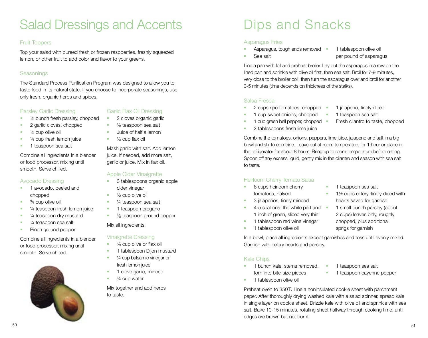## Salad Dressings and Accents

#### Fruit Toppers

Top your salad with pureed fresh or frozen raspberries, freshly squeezed lemon, or other fruit to add color and flavor to your greens.

#### **Seasonings**

The Standard Process Purification Program was designed to allow you to taste food in its natural state. If you choose to incorporate seasonings, use only fresh, organic herbs and spices.

#### Parsley Garlic Dressing

- ½ bunch fresh parsley, chopped
- 2 garlic cloves, chopped
- ½ cup olive oil
- ¼ cup fresh lemon juice
- 1 teaspoon sea salt

Combine all ingredients in a blender or food processor, mixing until smooth. Serve chilled.

#### Avocado Dressing

- **1** avocado, peeled and chopped
- ¾ cup olive oil
- ¼ teaspoon fresh lemon juice
- ¼ teaspoon dry mustard
- ¼ teaspoon sea salt
- Pinch ground pepper

Combine all ingredients in a blender or food processor, mixing until smooth. Serve chilled.



#### Garlic Flax Oil Dressing

- 2 cloves organic garlic
- 1/8 teaspoon sea salt
- Juice of half a lemon
- $\blacksquare$   $\frac{1}{3}$  cup flax oil

Mash garlic with salt. Add lemon juice. If needed, add more salt, garlic or juice. Mix in flax oil.

#### Apple Cider Vinaigrette

- 3 tablespoons organic apple cider vinegar
- ½ cup olive oil
- ¼ teaspoon sea salt
- 1 teaspoon oregano
- <sup>1</sup>/<sub>8</sub> teaspoon ground pepper

#### Mix all ingredients.

#### Vinaigrette Dressing

- $\frac{2}{3}$  cup olive or flax oil
- 1 tablespoon Dijon mustard
- ¼ cup balsamic vinegar or fresh lemon juice
- 1 clove garlic, minced
- ¼ cup water

Mix together and add herbs to taste.

# Dips and Snacks

#### Asparagus Fries

Sea salt

- Asparagus, tough ends removed
- 1 tablespoon olive oil per pound of asparagus

Line a pan with foil and preheat broiler. Lay out the asparagus in a row on the lined pan and sprinkle with olive oil first, then sea salt. Broil for 7-9 minutes, very close to the broiler coil, then turn the asparagus over and broil for another 3-5 minutes (time depends on thickness of the stalks).

#### Salsa Fresca

- 2 cups ripe tomatoes, chopped
- 1 cup sweet onions, chopped
- 1 cup green bell pepper, chopped •
- 1 jalapeno, finely diced
- 1 teaspoon sea salt
	- Fresh cilantro to taste, chopped
- 2 tablespoons fresh lime juice

Combine the tomatoes, onions, peppers, lime juice, jalapeno and salt in a big bowl and stir to combine. Leave out at room temperature for 1 hour or place in the refrigerator for about 8 hours. Bring up to room temperature before eating. Spoon off any excess liquid, gently mix in the cilantro and season with sea salt to taste.

#### Heirloom Cherry Tomato Salsa

- 6 cups heirloom cherry tomatoes, halved
- 3 jalapeños, finely minced
- 4-5 scallions: the white part and 1 inch of green, sliced very thin
- 1 tablespoon red wine vinegar
- 1 tablespoon olive oil
- 1 teaspoon sea salt
- 1½ cups celery, finely diced with hearts saved for garnish
- 1 small bunch parsley (about 2 cups) leaves only, roughly chopped, plus additional sprigs for garnish

In a bowl, place all ingredients except garnishes and toss until evenly mixed. Garnish with celery hearts and parsley.

#### Kale Chips

- 1 bunch kale, stems removed, torn into bite-size pieces
- 1 teaspoon sea salt
- **1** teaspoon cayenne pepper
- 1 tablespoon olive oil

Preheat oven to 350˚F. Line a noninsulated cookie sheet with parchment paper. After thoroughly drying washed kale with a salad spinner, spread kale in single layer on cookie sheet. Drizzle kale with olive oil and sprinkle with sea salt. Bake 10-15 minutes, rotating sheet halfway through cooking time, until edges are brown but not burnt.

- 
- 
-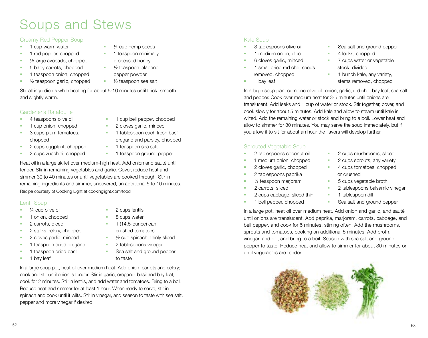# Soups and Stews

#### Creamy Red Pepper Soup

- **1** cup warm water
- 1 red pepper, chopped
- $\frac{1}{2}$  large avocado, chopped
- 5 baby carrots, chopped
- **1** teaspoon onion, chopped
- 1/2 teaspoon garlic, chopped
- processed honey ■ 1/<sub>2</sub> teaspoon jalapeño pepper powder

 ¼ cup hemp seeds 1 teaspoon minimally

■ 1/2 teaspoon sea salt

Stir all ingredients while heating for about 5-10 minutes until thick, smooth and slightly warm.

#### Gardener's Ratatouille

- **4** teaspoons olive oil
- **1** cup onion, chopped
- **3** cups plum tomatoes, chopped
- **2** cups eggplant, chopped
- oregano and parsley, chopped
- **1** teaspoon sea salt
- **2** cups zucchini, chopped
- 1 teaspoon ground pepper

 1 cup bell pepper, chopped 2 cloves garlic, minced **1** tablespoon each fresh basil,

Heat oil in a large skillet over medium-high heat. Add onion and sauté until tender. Stir in remaining vegetables and garlic. Cover, reduce heat and simmer 30 to 40 minutes or until vegetables are cooked through. Stir in remaining ingredients and simmer, uncovered, an additional 5 to 10 minutes. Recipe courtesy of Cooking Light at cookinglight.com/food

#### Lentil Soup

- ¼ cup olive oil
- 1 onion, chopped
- **2** carrots, diced
- 2 stalks celery, chopped
- 2 cloves garlic, minced
- **1** teaspoon dried oregano
- 1 teaspoon dried basil
- **1** bay leaf
- 2 cups lentils
- 
- crushed tomatoes
- ½ cup spinach, thinly sliced
- 2 tablespoons vinegar
- Sea salt and ground pepper to taste

In a large soup pot, heat oil over medium heat. Add onion, carrots and celery; cook and stir until onion is tender. Stir in garlic, oregano, basil and bay leaf; cook for 2 minutes. Stir in lentils, and add water and tomatoes. Bring to a boil. Reduce heat and simmer for at least 1 hour. When ready to serve, stir in spinach and cook until it wilts. Stir in vinegar, and season to taste with sea salt, pepper and more vinegar if desired.

#### Kale Soup

- 3 tablespoons olive oil
- 1 medium onion, diced
- 6 cloves garlic, minced
- 1 small dried red chili, seeds removed, chopped
- 1 bay leaf
- Sea salt and ground pepper
- 4 leeks, chopped
- 7 cups water or vegetable stock, divided
- **1** bunch kale, any variety, stems removed, chopped

In a large soup pan, combine olive oil, onion, garlic, red chili, bay leaf, sea salt and pepper. Cook over medium heat for 3-5 minutes until onions are translucent. Add leeks and 1 cup of water or stock. Stir together, cover, and cook slowly for about 5 minutes. Add kale and allow to steam until kale is wilted. Add the remaining water or stock and bring to a boil. Lower heat and allow to simmer for 30 minutes. You may serve the soup immediately, but if you allow it to sit for about an hour the flavors will develop further.

#### Sprouted Vegetable Soup

- 2 tablespoons coconut oil
- 1 medium onion, chopped
- 2 cloves garlic, chopped
- 2 tablespoons paprika
- ¼ teaspoon marjoram
- 2 carrots, sliced
- 2 cups cabbage, sliced thin
- 1 bell pepper, chopped
- 2 cups mushrooms, sliced
- 2 cups sprouts, any variety
- 4 cups tomatoes, chopped or crushed
- 5 cups vegetable broth
- 2 tablespoons balsamic vinegar
- 1 tablespoon dill
- Sea salt and ground pepper

In a large pot, heat oil over medium heat. Add onion and garlic, and sauté until onions are translucent. Add paprika, marjoram, carrots, cabbage, and bell pepper, and cook for 5 minutes, stirring often. Add the mushrooms, sprouts and tomatoes, cooking an additional 5 minutes. Add broth, vinegar, and dill, and bring to a boil. Season with sea salt and ground pepper to taste. Reduce heat and allow to simmer for about 30 minutes or until vegetables are tender.



- 
- 8 cups water
- 
- $\blacksquare$  1 (14.5-ounce) can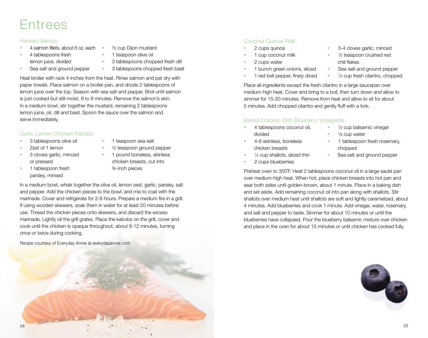### Entrees

#### Herbed Salmon

- 4 salmon fillets, about 6 oz. each
- **4** tablespoons fresh lemon juice, divided
- 1 teaspoon olive oil
- Sea salt and ground pepper
- 3 tablespoons chopped fresh dill
- 3 tablespoons chopped fresh basil

½ cup Dijon mustard

Heat broiler with rack 4 inches from the heat. Rinse salmon and pat dry with paper towels. Place salmon on a broiler pan, and drizzle 2 tablespoons of lemon juice over the top. Season with sea salt and pepper. Broil until salmon is just cooked but still moist, 8 to 9 minutes. Remove the salmon's skin. In a medium bowl, stir together the mustard, remaining 2 tablespoons lemon juice, oil, dill and basil. Spoon the sauce over the salmon and serve immediately.

#### Garlic Lemon Chicken Kabobs

- 3 tablespoons olive oil
- Zest of 1 lemon
- **3** cloves garlic, minced or pressed
- **1** tablespoon fresh parsley, minsed
- 1 teaspoon sea salt
- ½ teaspoon ground pepper
- 1 pound boneless, skinless chicken breasts, cut into ¾-inch pieces

In a medium bowl, whisk together the olive oil, lemon zest, garlic, parsley, salt and pepper. Add the chicken pieces to the bowl, and mix to coat with the marinade. Cover and refrigerate for 2-8 hours. Prepare a medium fire in a grill. If using wooden skewers, soak them in water for at least 20 minutes before use. Thread the chicken pieces onto skewers, and discard the excess marinade. Lightly oil the grill grates. Place the kabobs on the grill, cover and cook until the chicken is opaque throughout, about 8-12 minutes, turning once or twice during cooking.

Recipe courtesy of Everyday Annie at everydayannie.com

#### Coconut Quinoa Pilaf

- 2 cups quinoa
- 1 cup coconut milk
- 2 cups water
- 1 bunch green onions, sliced
- 1 red bell pepper, finely diced
- 3-4 cloves garlic, minced
- <sup>1</sup>/<sub>2</sub> teaspoon crushed red chili flakes

• <sup>1/2</sup> cup balsamic vinegar

1 tablespoon fresh rosemary,

Sea salt and ground pepper

■ <sup>1</sup>/8 cup water

chopped

- Sea salt and ground pepper
- <sup>1</sup>/<sub>2</sub> cup fresh cilantro, chopped

Place all ingredients except the fresh cilantro in a large saucepan over medium-high heat. Cover and bring to a boil, then turn down and allow to simmer for 15-20 minutes. Remove from heat and allow to sit for about 5 minutes. Add chopped cilantro and gently fluff with a fork.

#### Baked Chicken With Blueberry Vinaigrette

- 4 tablespoons coconut oil, divided
- 4-6 skinless, boneless chicken breasts
- <sup>1/4</sup> cup shallots, sliced thin
- 2 cups blueberries

Preheat oven to 350˚F. Heat 2 tablespoons coconut oil in a large sauté pan over medium-high heat. When hot, place chicken breasts into hot pan and sear both sides until golden-brown, about 1 minute. Place in a baking dish and set aside. Add remaining coconut oil into pan along with shallots. Stir shallots over medium heat until shallots are soft and lightly caramelized, about 4 minutes. Add blueberries and cook 1 minute. Add vinegar, water, rosemary, and salt and pepper to taste. Simmer for about 10 minutes or until the blueberries have collapsed. Pour the blueberry balsamic mixture over chicken and place in the oven for about 15 minutes or until chicken has cooked fully.

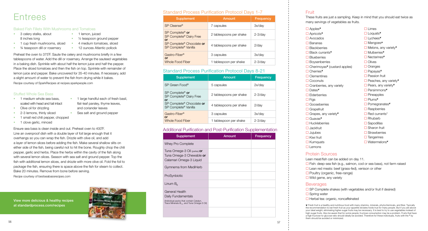

## **Entrees**

#### Baked Fish Fillets With Mushrooms and Tomatoes

- 3 celery stalks, about 8 inches long
- **1** lemon, juiced ■ 1/2 teaspoon ground pepper
- **1** cup fresh mushrooms, sliced 4 medium tomatoes, sliced
	- ¾ teaspoon dill or rosemary **12 ounces Atlantic pollock**
- Preheat the oven to 375˚F. Saute the celery and mushrooms briefly in a few tablespoons of water. Add the dill or rosemary. Arrange the sauteed vegetables in a baking dish. Sprinkle with about half the lemon juice and half the pepper. Place the sliced tomatoes and then the fish on top. Sprinkle with remainder of lemon juice and pepper. Bake uncovered for 35-40 minutes. If necessary, add a slight amount of water to prevent the fish from drying while it bakes. Recipe courtesy of SparkRecipes at recipes.sparkpeople.com

#### Stuffed Whole Sea Bass

- 1 medium whole sea bass, scaled with head and tail intact
- <sup>1</sup> 1 large handful each of fresh basil, flat-leaf parsley, thyme leaves, and coriander leaves
- Olive oil for drizzling
	- 2-3 lemons, thinly sliced Sea salt and ground pepper
- 1 small red chili pepper, chopped
- 1 clove garlic, minced
- $\square$  Limes □ Loquats<sup>\*</sup> Lychees❦ □ Mangoes<sup>®</sup>  $\Box$  Melons, any variety<sup>®</sup> □ Mulberries<sup>®</sup> Nectarines❦  $\Box$  Olives □ Oranges □ Papayas<sup>®</sup>  $\Box$  Passion fruit  $\Box$  Peaches, any variety® □ Pears, any variety<sup>®</sup> □ Persimmons<sup>\*</sup>  $\Box$  Pineapples □ Plums<sup>\*</sup>
	- □ Pomegranates<sup>®</sup>
	- $\Box$  Raspberries
	- $\Box$  Red currants\*
	- $\Box$  Rhubarb
	- $\square$  Sapodillas
	- Sharon fruit
	- $\Box$  Strawberries
	- $\Box$  Tangerines
	- Watermelons❦

□ Fish: deep-sea fish (e.g., salmon, cod or sea bass), not farm raised  $\Box$  Lean red meats: beef (grass-fed), venison or other

 $\square$  SP Complete shakes (with vegetables and/or fruit if desired)

Ensure sea bass is clean inside and out. Preheat oven to 400˚F. Line an ovenproof dish with a double layer of foil large enough that it overhangs so you can wrap the fish. Drizzle with olive oil, and add a layer of lemon slices before adding the fish. Make several shallow slits on either side of the fish, being careful not to hit the bone. Roughly chop the chili pepper, garlic and herbs. Place the herbs within the cavity of the fish along with several lemon slices. Season with sea salt and ground pepper. Top the fish with additional lemon slices, and drizzle with more olive oil. Fold the foil to package the fish, ensuring there is space above the fish for steam to collect. Bake 20 minutes. Remove from bone before serving. Recipe courtesy of bestseabassrecipes.com

Lean meat/fish can be added on day 11. □ Poultry (organic, free-range)  $\Box$  Wild game, any variety

#### **Beverages**

□ Spring water  $\Box$  Herbal tea: organic, noncaffeinated

#### Additional Purification and Post-Purification Supplementation

| Supplement                                                                                                                                       | Amount | Frequency |
|--------------------------------------------------------------------------------------------------------------------------------------------------|--------|-----------|
| Whey Pro Complete                                                                                                                                |        |           |
| Tuna Omega-3 Oil (perles) or<br>Tuna Omega-3 Chewable or<br>Calamari Omega-3 Liquid                                                              |        |           |
| Gymnema from MediHerb                                                                                                                            |        |           |
| ProSynbiotic                                                                                                                                     |        |           |
| Linum $B_6$                                                                                                                                      |        |           |
| <b>General Health</b><br>Daily Fundamentals<br>(Individual packs that contain Catalyn,<br>Trace Minerals-B <sub>12</sub> , and Tuna Omega-3 Oil) |        |           |
|                                                                                                                                                  |        |           |

#### Fruit

These fruits are just a sampling. Keep in mind that you should eat twice as many servings of vegetables as fruits.

□ Apples<sup>®</sup> Apricots❦ Avocados  $\Box$  Bananas  $\Box$  Blackberries Black currants❦ **□** Blueberries **□** Boysenberries  $\Box$  Cherimoyas<sup>®</sup> (custard apples) □ Cherries<sup>\*</sup> □ Clementines  $\Box$  Coconuts  $\Box$  Cranberries, any variety □ Dates<sup>®</sup> **□** Elderberries  $\Box$  Figs □ Gooseberries □ Grapefruit  $\Box$  Grapes, any variety<sup>\*</sup> Guavas❦  $\Box$  Huckleberries  $\Box$ Jackfruit  $\Box$  Jujubes  $\Box$  Kiwi fruit  $\Box$  Kumquats  $\Box$  Lemons

#### Protein Sources

#### Standard Process Purification Protocol Days 1-7

#### Standard Process Purification Protocol Days 8-21

| <b>Supplement</b>                                                        | Amount                  | Frequency    |
|--------------------------------------------------------------------------|-------------------------|--------------|
| SP Cleanse <sup>®</sup>                                                  | 7 capsules              | 3x/day       |
| SP Complete <sup>®</sup> or<br>SP Complete <sup>®</sup> Dairy Free<br>or | 2 tablespoons per shake | $2 - 3$ /day |
| SP Complete® Chocolate or<br>SP Complete® Vanilla                        | 4 tablespoons per shake | $2$ /day     |
| Gastro-Fiber <sup>®</sup><br>or<br>Whole Food Fiber                      | 3 capsules              | 3x/day       |
|                                                                          | 1 tablespoon per shake  | $2 - 3$ /day |

| <b>Supplement</b>                                                        | Amount                  | <b>Frequency</b> |
|--------------------------------------------------------------------------|-------------------------|------------------|
| SP Green Food®                                                           | 5 capsules              | $2x$ /day        |
| SP Complete <sup>®</sup> or<br>SP Complete <sup>®</sup> Dairy Free<br>or | 2 tablespoons per shake | $2 - 3$ /day     |
| SP Complete® Chocolate or<br>SP Complete® Vanilla                        | 4 tablespoons per shake | $2$ /day         |
| Gastro-Fiber <sup>®</sup><br>or                                          | 3 capsules              | 3x/day           |
| Whole Food Fiber                                                         | 1 tablespoon per shake  | $2 - 3$ /day     |

❦ Fresh fruit is a healthy and nutritious food with many vitamins, minerals, phytochemicals, and fiber. Typically the recommendation to eat fresh fruit as your appetite dictates holds true for many people. But if you are above your ideal weight, eliminating higher-sugar fruits may be necessary. It is best to try to use vegetables instead of high-sugar fruits. Also be aware that for some people, fructose consumption may be a problem. Fruits that have a high fructose-to-glucose ratio should ideally be avoided. Therefore for these individuals, fruits with the ❦ by them should be avoided or minimized.

View more delicious & healthy recipes at standardprocess.com/recipes